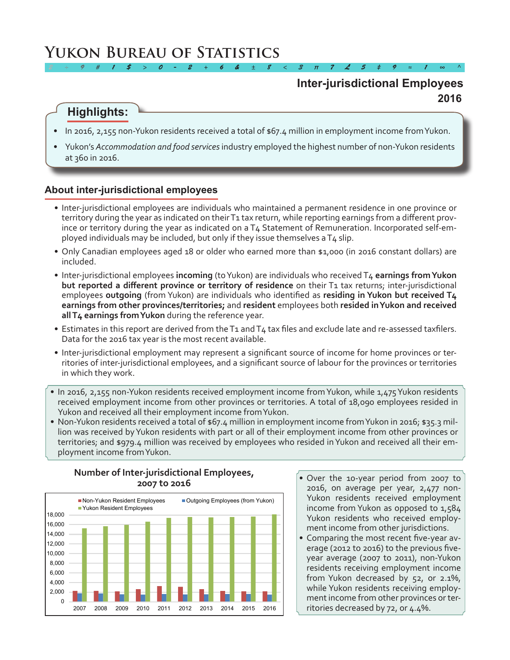# **Yukon Bureau of Statistics**

## **2016 Inter-jurisdictional Employees**

# **Highlights:**

• In 2016, 2,155 non-Yukon residents received a total of \$67.4 million in employment income from Yukon.

*2 ÷ 9 # 1 \$ > 0 - 2 + 6 & ± 8 < 3 π 7 £ 5 ‡ 9 ≈ 1 ∞ ^*

Yukon's *Accommodation and food services* industry employed the highest number of non-Yukon residents at 360 in 2016.

### **About inter-jurisdictional employees**

- • Inter-jurisdictional employees are individuals who maintained a permanent residence in one province or territory during the year as indicated on their T1 tax return, while reporting earnings from a different province or territory during the year as indicated on a T4 Statement of Remuneration. Incorporated self-employed individuals may be included, but only if they issue themselves aT4 slip.
- Only Canadian employees aged 18 or older who earned more than \$1,000 (in 2016 constant dollars) are included.
- • Inter-jurisdictional employees **incoming** (toYukon) are individuals who received T4 **earnings from Yukon but reported a different province or territory of residence** on their T1 tax returns; inter-jurisdictional employees **outgoing** (from Yukon) are individuals who identified as **residing in Yukon but received T4 earnings from other provinces/territories;** and **resident** employees both **resided in Yukon and received all T4 earnings from Yukon** during the reference year.
- Estimates in this report are derived from the T1 and T4 tax files and exclude late and re-assessed taxfilers. Data for the 2016 tax year is the most recent available.
- • Inter-jurisdictional employment may represent a significant source of income for home provinces or territories of inter-jurisdictional employees, and a significant source of labour for the provinces or territories in which they work.
- In 2016, 2,155 non-Yukon residents received employment income from Yukon, while 1,475 Yukon residents received employment income from other provinces or territories. A total of 18,090 employees resided in Yukon and received all their employment income fromYukon.
- Non-Yukon residents received a total of \$67.4 million in employment income from Yukon in 2016; \$35.3 million was received byYukon residents with part or all of their employment income from other provinces or territories; and \$979.4 million was received by employees who resided inYukon and received all their employment income fromYukon.



- **Number of Inter-jurisdictional Employees, 2007 to 2016**
- Over the 10-year period from 2007 to 2016, on average per year, 2,477 non-Yukon residents received employment income from Yukon as opposed to 1,584 Yukon residents who received employment income from other jurisdictions.
- Comparing the most recent five-year average (2012 to 2016) to the previous fiveyear average (2007 to 2011), non-Yukon residents receiving employment income from Yukon decreased by 52, or 2.1%, while Yukon residents receiving employment income from other provinces or territories decreased by 72, or 4.4%.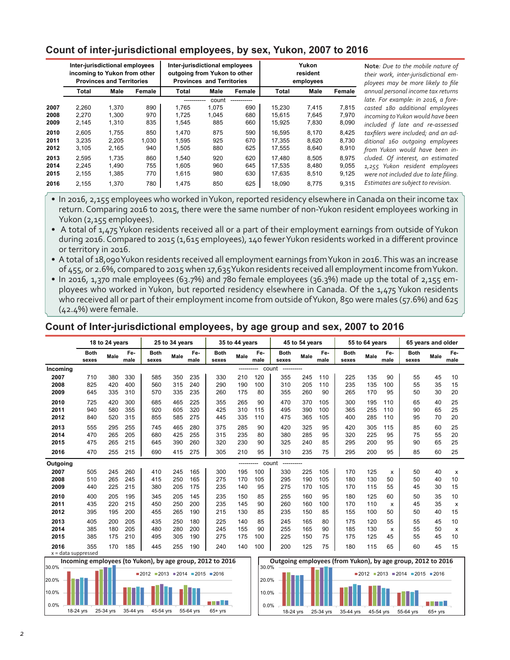### **Count of inter-jurisdictional employees, by sex, Yukon, 2007 to 2016**

|      | Inter-jurisdictional employees<br>incoming to Yukon from other<br><b>Provinces and Territories</b> |       |        | Inter-jurisdictional employees<br>outgoing from Yukon to other | <b>Provinces and Territories</b> |        | Yukon<br>resident<br>employees |       |        |  |
|------|----------------------------------------------------------------------------------------------------|-------|--------|----------------------------------------------------------------|----------------------------------|--------|--------------------------------|-------|--------|--|
|      | Total                                                                                              | Male  | Female | Total                                                          | Male                             | Female | Total                          | Male  | Female |  |
|      |                                                                                                    |       |        |                                                                | count                            |        |                                |       |        |  |
| 2007 | 2.260                                                                                              | 1.370 | 890    | 1.765                                                          | 1.075                            | 690    | 15.230                         | 7.415 | 7.815  |  |
| 2008 | 2,270                                                                                              | 1.300 | 970    | 1,725                                                          | 1,045                            | 680    | 15.615                         | 7,645 | 7,970  |  |
| 2009 | 2,145                                                                                              | 1,310 | 835    | 1,545                                                          | 885                              | 660    | 15,925                         | 7,830 | 8,090  |  |
| 2010 | 2.605                                                                                              | 1.755 | 850    | 1.470                                                          | 875                              | 590    | 16.595                         | 8.170 | 8.425  |  |
| 2011 | 3,235                                                                                              | 2.205 | 1,030  | 1.595                                                          | 925                              | 670    | 17,355                         | 8,620 | 8,730  |  |
| 2012 | 3,105                                                                                              | 2,165 | 940    | 1,505                                                          | 880                              | 625    | 17,555                         | 8,640 | 8,910  |  |
| 2013 | 2,595                                                                                              | 1.735 | 860    | 1.540                                                          | 920                              | 620    | 17.480                         | 8,505 | 8.975  |  |
| 2014 | 2.245                                                                                              | 1.490 | 755    | 1.605                                                          | 960                              | 645    | 17.535                         | 8.480 | 9.055  |  |
| 2015 | 2,155                                                                                              | 1,385 | 770    | 1,615                                                          | 980                              | 630    | 17,635                         | 8,510 | 9,125  |  |
| 2016 | 2,155                                                                                              | 1,370 | 780    | 1,475                                                          | 850                              | 625    | 18.090                         | 8,775 | 9,315  |  |

**Note***: Due to the mobile nature of their work, inter-jurisdictional employees may be more likely to file annual personal income tax returns late. For example: in 2016, a forecasted 180 additional employees incoming to Yukon would have been included if late and re-assessed taxfilers were included; and an additional 160 outgoing employees from Yukon would have been included. Of interest, an estimated 1,255 Yukon resident employees were not included due to late filing. Estimates are subject to revision.*

• In 2016, 2,155 employees who worked in Yukon, reported residency elsewhere in Canada on their income tax return. Comparing 2016 to 2015, there were the same number of non-Yukon resident employees working in Yukon (2,155 employees).

• A total of 1,475 Yukon residents received all or a part of their employment earnings from outside of Yukon during 2016. Compared to 2015 (1,615 employees), 140 fewerYukon residents worked in a different province or territory in 2016.

• A total of 18,090 Yukon residents received all employment earnings from Yukon in 2016. This was an increase of 455, or 2.6%, compared to 2015 when 17,635 Yukon residents received all employment income from Yukon.

• In 2016, 1,370 male employees (63.7%) and 780 female employees (36.3%) made up the total of 2,155 employees who worked in Yukon, but reported residency elsewhere in Canada. Of the 1,475 Yukon residents who received all or part of their employment income from outside of Yukon, 850 were males (57.6%) and 625 (42.4%) were female.

### **Count of Inter-jurisdictional employees, by age group and sex, 2007 to 2016**

|                               |                      | 18 to 24 years |             |                            | 25 to 34 years |             |                                                           | 35 to 44 years |             |                      | 45 to 54 years |             |                                                             | 55 to 64 years |             |                            | 65 years and older |             |
|-------------------------------|----------------------|----------------|-------------|----------------------------|----------------|-------------|-----------------------------------------------------------|----------------|-------------|----------------------|----------------|-------------|-------------------------------------------------------------|----------------|-------------|----------------------------|--------------------|-------------|
|                               | <b>Both</b><br>sexes | Male           | Fe-<br>male | <b>Both</b><br>sexes       | Male           | Fe-<br>male | <b>Both</b><br>sexes                                      | Male           | Fe-<br>male | <b>Both</b><br>sexes | Male           | Fe-<br>male | <b>Both</b><br>sexes                                        | Male           | Fe-<br>male | <b>Both</b><br>sexes       | Male               | Fe-<br>male |
| Incoming                      |                      |                |             |                            |                |             |                                                           | ------         |             | count<br>----------- |                |             |                                                             |                |             |                            |                    |             |
| 2007                          | 710                  | 380            | 330         | 585                        | 350            | 235         | 330                                                       | 210            | 120         | 355                  | 245            | 110         | 225                                                         | 135            | 90          | 55                         | 45                 | 10          |
| 2008                          | 825                  | 420            | 400         | 560                        | 315            | 240         | 290                                                       | 190            | 100         | 310                  | 205            | 110         | 235                                                         | 135            | 100         | 55                         | 35                 | 15          |
| 2009                          | 645                  | 335            | 310         | 570                        | 335            | 235         | 260                                                       | 175            | 80          | 355                  | 260            | 90          | 265                                                         | 170            | 95          | 50                         | 30                 | 20          |
| 2010                          | 725                  | 420            | 300         | 685                        | 465            | 225         | 355                                                       | 265            | 90          | 470                  | 370            | 105         | 300                                                         | 195            | 110         | 65                         | 40                 | 25          |
| 2011                          | 940                  | 580            | 355         | 920                        | 605            | 320         | 425                                                       | 310            | 115         | 495                  | 390            | 100         | 365                                                         | 255            | 110         | 90                         | 65                 | 25          |
| 2012                          | 840                  | 520            | 315         | 855                        | 585            | 275         | 445                                                       | 335            | 110         | 475                  | 365            | 105         | 400                                                         | 285            | 110         | 95                         | 70                 | 20          |
| 2013                          | 555                  | 295            | 255         | 745                        | 465            | 280         | 375                                                       | 285            | 90          | 420                  | 325            | 95          | 420                                                         | 305            | 115         | 85                         | 60                 | 25          |
| 2014                          | 470                  | 265            | 205         | 680                        | 425            | 255         | 315                                                       | 235            | 80          | 380                  | 285            | 95          | 320                                                         | 225            | 95          | 75                         | 55                 | 20          |
| 2015                          | 475                  | 265            | 215         | 645                        | 390            | 260         | 320                                                       | 230            | 90          | 325                  | 240            | 85          | 295                                                         | 200            | 95          | 90                         | 65                 | 25          |
| 2016                          | 470                  | 255            | 215         | 690                        | 415            | 275         | 305                                                       | 210            | 95          | 310                  | 235            | 75          | 295                                                         | 200            | 95          | 85                         | 60                 | 25          |
| Outgoing                      |                      |                |             |                            |                |             |                                                           | -----          |             | count<br>----------  |                |             |                                                             |                |             |                            |                    |             |
| 2007                          | 505                  | 245            | 260         | 410                        | 245            | 165         | 300                                                       | 195            | 100         | 330                  | 225            | 105         | 170                                                         | 125            | X           | 50                         | 40                 | x           |
| 2008                          | 510                  | 265            | 245         | 415                        | 250            | 165         | 275                                                       | 170            | 105         | 295                  | 190            | 105         | 180                                                         | 130            | 50          | 50                         | 40                 | 10          |
| 2009                          | 440                  | 225            | 215         | 380                        | 205            | 175         | 235                                                       | 140            | 95          | 275                  | 170            | 105         | 170                                                         | 115            | 55          | 45                         | 30                 | 15          |
| 2010                          | 400                  | 205            | 195         | 345                        | 205            | 145         | 235                                                       | 150            | 85          | 255                  | 160            | 95          | 180                                                         | 125            | 60          | 50                         | 35                 | 10          |
| 2011                          | 435                  | 220            | 215         | 450                        | 250            | 200         | 235                                                       | 145            | 90          | 260                  | 160            | 100         | 170                                                         | 110            | х           | 45                         | 35                 | х           |
| 2012                          | 395                  | 195            | 200         | 455                        | 265            | 190         | 215                                                       | 130            | 85          | 235                  | 150            | 85          | 155                                                         | 100            | 50          | 50                         | 40                 | 15          |
| 2013                          | 405                  | 200            | 205         | 435                        | 250            | 180         | 225                                                       | 140            | 85          | 245                  | 165            | 80          | 175                                                         | 120            | 55          | 55                         | 45                 | 10          |
| 2014                          | 385                  | 180            | 205         | 480                        | 280            | 200         | 245                                                       | 155            | 90          | 255                  | 165            | 90          | 185                                                         | 130            | X           | 55                         | 50                 | X           |
| 2015                          | 385                  | 175            | 210         | 495                        | 305            | 190         | 275                                                       | 175            | 100         | 225                  | 150            | 75          | 175                                                         | 125            | 45          | 55                         | 45                 | 10          |
| 2016<br>$x = data$ suppressed | 355                  | 170            | 185         | 445                        | 255            | 190         | 240                                                       | 140            | 100         | 200                  | 125            | 75          | 180                                                         | 115            | 65          | 60                         | 45                 | 15          |
|                               |                      |                |             |                            |                |             | Incoming employees (to Yukon), by age group, 2012 to 2016 |                |             |                      |                |             | Outgoing employees (from Yukon), by age group, 2012 to 2016 |                |             |                            |                    |             |
| 30.0%<br>$20.0\%$ -           | a a T                |                |             | $2012$ 2013 2014 2015 2016 |                |             |                                                           |                | 30.0%       | $20.0\%$ -           |                |             |                                                             |                |             | $2012$ 2013 2014 2015 2016 |                    |             |



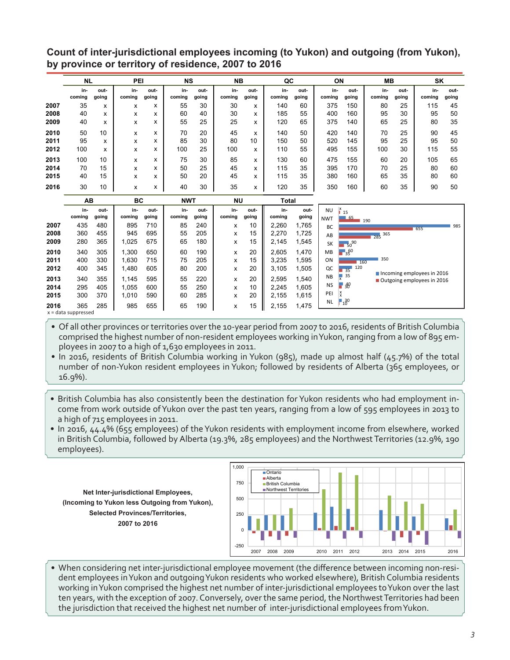**Count of inter-jurisdictional employees incoming (to Yukon) and outgoing (from Yukon), by province or territory of residence, 2007 to 2016**

|      | <b>NL</b>     |               | PEI           |               | <b>NS</b>     |               | <b>NB</b>     |               | QC            |               | ON            |               | <b>MB</b>     |               | SK            |               |
|------|---------------|---------------|---------------|---------------|---------------|---------------|---------------|---------------|---------------|---------------|---------------|---------------|---------------|---------------|---------------|---------------|
|      | in-<br>coming | out-<br>going | in-<br>coming | out-<br>going | in-<br>coming | out-<br>going | in-<br>coming | out-<br>going | in-<br>coming | out-<br>going | in-<br>coming | out-<br>going | in-<br>coming | out-<br>going | in-<br>coming | out-<br>going |
| 2007 | 35            | x             | x             | x             | 55            | 30            | 30            | x             | 140           | 60            | 375           | 150           | 80            | 25            | 115           | 45            |
| 2008 | 40            | x             | x             | x             | 60            | 40            | 30            | x             | 185           | 55            | 400           | 160           | 95            | 30            | 95            | 50            |
| 2009 | 40            | x             | x             | x             | 55            | 25            | 25            | x             | 120           | 65            | 375           | 140           | 65            | 25            | 80            | 35            |
| 2010 | 50            | 10            | x             | x             | 70            | 20            | 45            | x             | 140           | 50            | 420           | 140           | 70            | 25            | 90            | 45            |
| 2011 | 95            | x             | x             | x             | 85            | 30            | 80            | 10            | 150           | 50            | 520           | 145           | 95            | 25            | 95            | 50            |
| 2012 | 100           | x             | x             | x             | 100           | 25            | 100           | x             | 110           | 55            | 495           | 155           | 100           | 30            | 115           | 55            |
| 2013 | 100           | 10            | x             | x             | 75            | 30            | 85            | x             | 130           | 60            | 475           | 155           | 60            | 20            | 105           | 65            |
| 2014 | 70            | 15            | x             | x             | 50            | 25            | 45            | X             | 115           | 35            | 395           | 170           | 70            | 25            | 80            | 60            |
| 2015 | 40            | 15            | x             | x             | 50            | 20            | 45            | x             | 115           | 35            | 380           | 160           | 65            | 35            | 80            | 60            |
| 2016 | 30            | 10            | x             | x             | 40            | 30            | 35            | x             | 120           | 35            | 350           | 160           | 60            | 35            | 90            | 50            |

|      | AВ                    |               | ВC            |               | <b>NWT</b>    |               | <b>NU</b>     |               | <b>Total</b>  |               |                         |                                                        |                            |  |
|------|-----------------------|---------------|---------------|---------------|---------------|---------------|---------------|---------------|---------------|---------------|-------------------------|--------------------------------------------------------|----------------------------|--|
|      | in-<br>coming         | out-<br>going | in-<br>coming | out-<br>going | in-<br>coming | out-<br>going | in-<br>coming | out-<br>going | in-<br>coming | out-<br>going | <b>NU</b><br><b>NWT</b> | $\begin{array}{c} x \\ 15 \end{array}$<br>$-65$<br>190 |                            |  |
| 2007 | 435                   | 480           | 895           | 710           | 85            | 240           | x             | 10            | 2,260         | 1,765         | BC                      |                                                        | 985<br>655                 |  |
| 2008 | 360                   | 455           | 945           | 695           | 55            | 205           | x             | 15            | 2,270         | 1,725         | AB                      |                                                        | $285$ 365                  |  |
| 2009 | 280                   | 365           | 1,025         | 675           | 65            | 180           | x             | 15            | 2,145         | 1,545         | <b>SK</b>               | $\frac{1}{50}$ <sup>90</sup>                           |                            |  |
| 2010 | 340                   | 305           | 1,300         | 650           | 60            | 190           | x             | 20            | 2.605         | 1.470         | MB                      | $\overline{135}$ <sup>60</sup>                         |                            |  |
| 2011 | 400                   | 330           | 1,630         | 715           | 75            | 205           | x             | 15            | 3.235         | 1,595         | ON                      | 160                                                    | 350                        |  |
| 2012 | 400                   | 345           | 1,480         | 605           | 80            | 200           | x             | 20            | 3,105         | 1,505         | QC                      | 120<br>$\overline{35}$                                 | Incoming employees in 2016 |  |
| 2013 | 340                   | 355           | 1,145         | 595           | 55            | 220           | x             | 20            | 2,595         | 1,540         | <b>NB</b>               | - 35                                                   | Outgoing employees in 2016 |  |
| 2014 | 295                   | 405           | 1,055         | 600           | 55            | 250           | x             | 10            | 2.245         | 1.605         | <b>NS</b>               | $\blacksquare$ 30                                      |                            |  |
| 2015 | 300                   | 370           | 1,010         | 590           | 60            | 285           | x             | 20            | 2,155         | 1,615         | PEI                     |                                                        |                            |  |
| 2016 | 365                   | 285           | 985           | 655           | 65            | 190           | x             | 15            | 2,155         | 1,475         | <b>NL</b>               | $10^{30}$                                              |                            |  |
|      | $x = data$ suppressed |               |               |               |               |               |               |               |               |               |                         |                                                        |                            |  |

• Of all other provinces or territories over the 10-year period from 2007 to 2016, residents of British Columbia comprised the highest number of non-resident employees working inYukon, ranging from a low of 895 employees in 2007 to a high of 1,630 employees in 2011.

• In 2016, residents of British Columbia working in Yukon (985), made up almost half (45.7%) of the total number of non-Yukon resident employees in Yukon; followed by residents of Alberta (365 employees, or 16.9%).

- British Columbia has also consistently been the destination for Yukon residents who had employment income from work outside ofYukon over the past ten years, ranging from a low of 595 employees in 2013 to a high of 715 employees in 2011.
- In 2016, 44.4% (655 employees) of the Yukon residents with employment income from elsewhere, worked in British Columbia, followed by Alberta (19.3%, 285 employees) and the Northwest Territories (12.9%, 190 employees).

**Net Inter-jurisdictional Employees, (Incoming to Yukon less Outgoing from Yukon), Selected Provinces/Territories, 2007 to 2016**



• When considering net inter-jurisdictional employee movement (the difference between incoming non-resident employees inYukon and outgoingYukon residents who worked elsewhere), British Columbia residents working inYukon comprised the highest net number of inter-jurisdictional employees toYukon over the last ten years, with the exception of 2007. Conversely, over the same period, the Northwest Territories had been the jurisdiction that received the highest net number of inter-jurisdictional employees fromYukon.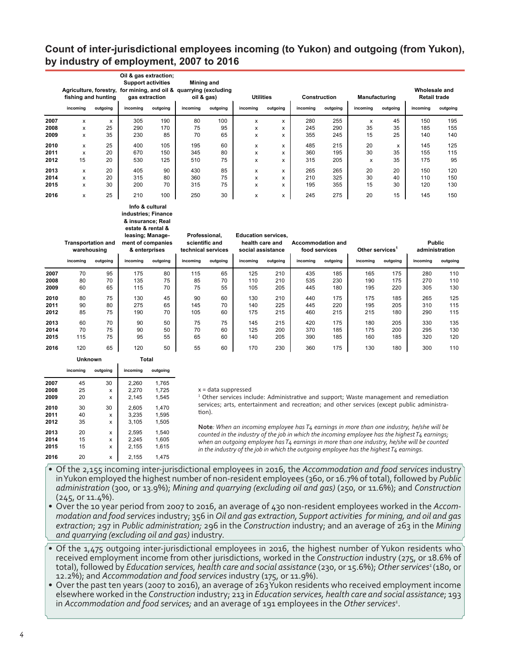### **Count of inter-jurisdictional employees incoming (to Yukon) and outgoing (from Yukon), by industry of employment, 2007 to 2016**

|      | Oil & gas extraction;<br><b>Support activities</b><br>Agriculture, forestry, for mining, and oil & quarrying (excluding<br>fishing and hunting<br>gas extraction |          |          | <b>Mining and</b><br>oil & gas) |          | <b>Utilities</b><br>Manufacturing<br><b>Construction</b><br>outgoing<br>incoming<br>incoming<br>incoming |   |   |     |          |    | Wholesale and<br><b>Retail trade</b> |          |          |
|------|------------------------------------------------------------------------------------------------------------------------------------------------------------------|----------|----------|---------------------------------|----------|----------------------------------------------------------------------------------------------------------|---|---|-----|----------|----|--------------------------------------|----------|----------|
|      | incoming                                                                                                                                                         | outgoing | incoming | outgoing                        | incoming | outgoing                                                                                                 |   |   |     | outgoing |    | outgoing                             | incoming | outgoing |
| 2007 | x                                                                                                                                                                | X        | 305      | 190                             | 80       | 100                                                                                                      | x | x | 280 | 255      | X  | 45                                   | 150      | 195      |
| 2008 | x                                                                                                                                                                | 25       | 290      | 170                             | 75       | 95                                                                                                       | x | x | 245 | 290      | 35 | 35                                   | 185      | 155      |
| 2009 | x                                                                                                                                                                | 35       | 230      | 85                              | 70       | 65                                                                                                       | x | x | 355 | 245      | 15 | 25                                   | 140      | 140      |
| 2010 | x                                                                                                                                                                | 25       | 400      | 105                             | 195      | 60                                                                                                       | x | x | 485 | 215      | 20 | x                                    | 145      | 125      |
| 2011 | x                                                                                                                                                                | 20       | 670      | 150                             | 345      | 80                                                                                                       | x | x | 360 | 195      | 30 | 35                                   | 155      | 115      |
| 2012 | 15                                                                                                                                                               | 20       | 530      | 125                             | 510      | 75                                                                                                       | x | x | 315 | 205      | X  | 35                                   | 175      | 95       |
| 2013 | x                                                                                                                                                                | 20       | 405      | 90                              | 430      | 85                                                                                                       | x | x | 265 | 265      | 20 | 20                                   | 150      | 120      |
| 2014 | x                                                                                                                                                                | 20       | 315      | 80                              | 360      | 75                                                                                                       | x | x | 210 | 325      | 30 | 40                                   | 110      | 150      |
| 2015 | x                                                                                                                                                                | 30       | 200      | 70                              | 315      | 75                                                                                                       | x | x | 195 | 355      | 15 | 30                                   | 120      | 130      |
| 2016 | x                                                                                                                                                                | 25       | 210      | 100                             | 250      | 30                                                                                                       | x | x | 245 | 275      | 20 | 15                                   | 145      | 150      |

#### **Info & cultural industries; Finance & insurance; Real estate & rental &**

|      | <b>Transportation and</b><br>warehousing<br>incomina<br>outgoing |    | leasing; Manage-<br>ment of companies<br>& enterprises<br>incoming<br>outgoing |    | Professional,<br>scientific and<br>technical services<br>incomina<br>outgoing |    | <b>Education services.</b><br>health care and<br>social assistance<br>incomina<br>outgoing |     | Accommodation and<br>food services<br>incomina<br>outgoing |     | Other services<br>incoming | outgoing | <b>Public</b><br>administration<br>incomina | outgoing |
|------|------------------------------------------------------------------|----|--------------------------------------------------------------------------------|----|-------------------------------------------------------------------------------|----|--------------------------------------------------------------------------------------------|-----|------------------------------------------------------------|-----|----------------------------|----------|---------------------------------------------|----------|
|      |                                                                  |    |                                                                                |    |                                                                               |    |                                                                                            |     |                                                            |     |                            |          |                                             |          |
| 2007 | 70                                                               | 95 | 175                                                                            | 80 | 115                                                                           | 65 | 125                                                                                        | 210 | 435                                                        | 185 | 165                        | 175      | 280                                         | 110      |
| 2008 | 80                                                               | 70 | 135                                                                            | 75 | 85                                                                            | 70 | 110                                                                                        | 210 | 535                                                        | 230 | 190                        | 175      | 270                                         | 110      |
| 2009 | 60                                                               | 65 | 115                                                                            | 70 | 75                                                                            | 55 | 105                                                                                        | 205 | 445                                                        | 180 | 195                        | 220      | 305                                         | 130      |
| 2010 | 80                                                               | 75 | 130                                                                            | 45 | 90                                                                            | 60 | 130                                                                                        | 210 | 440                                                        | 175 | 175                        | 185      | 265                                         | 125      |
| 2011 | 90                                                               | 80 | 275                                                                            | 65 | 145                                                                           | 70 | 140                                                                                        | 225 | 445                                                        | 220 | 195                        | 205      | 310                                         | 115      |
| 2012 | 85                                                               | 75 | 190                                                                            | 70 | 105                                                                           | 60 | 175                                                                                        | 215 | 460                                                        | 215 | 215                        | 180      | 290                                         | 115      |
| 2013 | 60                                                               | 70 | 90                                                                             | 50 | 75                                                                            | 75 | 145                                                                                        | 215 | 420                                                        | 175 | 180                        | 205      | 330                                         | 135      |
| 2014 | 70                                                               | 75 | 90                                                                             | 50 | 70                                                                            | 60 | 125                                                                                        | 200 | 370                                                        | 185 | 175                        | 200      | 295                                         | 130      |
| 2015 | 115                                                              | 75 | 95                                                                             | 55 | 65                                                                            | 60 | 140                                                                                        | 205 | 390                                                        | 185 | 160                        | 185      | 320                                         | 120      |
| 2016 | 120                                                              | 65 | 120                                                                            | 50 | 55                                                                            | 60 | 170                                                                                        | 230 | 360                                                        | 175 | 130                        | 180      | 300                                         | 110      |

|      | Unknown  |          | Total    |          |
|------|----------|----------|----------|----------|
|      | incoming | outgoing | incoming | outgoing |
| 2007 | 45       | 30       | 2.260    | 1,765    |
| 2008 | 25       | x        | 2,270    | 1.725    |
| 2009 | 20       | X        | 2.145    | 1.545    |
| 2010 | 30       | 30       | 2,605    | 1.470    |
| 2011 | 40       | x        | 3,235    | 1,595    |
| 2012 | 35       | x        | 3.105    | 1.505    |
| 2013 | 20       | X        | 2,595    | 1.540    |
| 2014 | 15       | x        | 2,245    | 1,605    |
| 2015 | 15       | x        | 2.155    | 1,615    |
| 2016 | 20       | X        | 2.155    | 1.475    |

#### x = data suppressed

<sup>1</sup> Other services include: Administrative and support; Waste management and remediation services; arts, entertainment and recreation; and other services (except public administration).

**Note***: When an incoming employee has T4 earnings in more than one industry, he/she will be counted in the industry of the job in which the incoming employee has the highest T4 earnings; when an outgoing employee has T4 earnings in more than one industry, he/she will be counted in the industry of the job in which the outgoing employee has the highest T4 earnings.*

- • Of the 2,155 incoming inter-jurisdictional employees in 2016, the *Accommodation and food services* industry inYukon employed the highest number of non-resident employees (360, or 16.7% oftotal), followed by *Public administration* (300, or 13.9%); *Mining and quarrying (excluding oil and gas)* (250, or 11.6%); and *Construction*   $(245, 0r 11.4\%)$ .
- • Over the 10 year period from 2007 to 2016, an average of 430 non-resident employees worked in the *Accommodation and food services*industry; 356 in *Oil and gas extraction, Support activities for mining, and oil and gas extraction*; 297 in *Public administration;* 296 in the *Construction* industry; and an average of 263 in the *Mining and quarrying (excluding oil and gas)* industry.
- $\bullet$  Of the 1,475 outgoing inter-jurisdictional employees in 2016, the highest number of Yukon residents who received employment income from other jurisdictions, worked in the *Construction* industry (275, or 18.6% of total), followed by *Education services, health care and social assistance* (230, or 15.6%); Other services<sup>1</sup> (180, or 12.2%); and *Accommodation and food services* industry (175, or 11.9%).
- • Over the past ten years (2007 to 2016), an average of 263Yukon residents who received employment income elsewhere worked in the *Construction* industry; 213 in *Education services, health care and social assistance*; 193 in *Accommodation and food services;* and an average of 191 employees in the *Other services1* .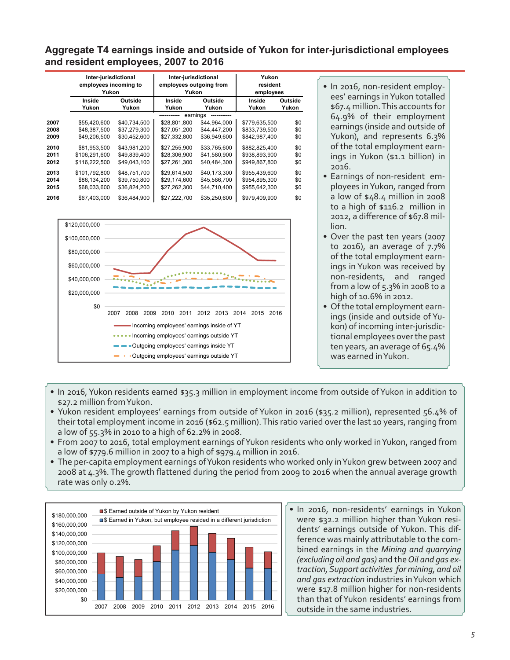### **Aggregate T4 earnings inside and outside of Yukon for inter-jurisdictional employees and resident employees, 2007 to 2016**

|      | Inter-jurisdictional<br>employees incoming to<br>Yukon |              | Inter-jurisdictional<br>employees outgoing from<br>Yukon |              | Yukon<br>resident<br>employees |         |  |
|------|--------------------------------------------------------|--------------|----------------------------------------------------------|--------------|--------------------------------|---------|--|
|      | Inside                                                 | Outside      | Inside                                                   | Outside      | Inside                         | Outside |  |
|      | Yukon                                                  | Yukon        | Yukon                                                    | Yukon        | Yukon                          | Yukon   |  |
|      |                                                        |              | earnings                                                 |              |                                |         |  |
| 2007 | \$55,420,600                                           | \$40.734.500 | \$28,801.800                                             | \$44.964.000 | \$779.635.500                  | \$0     |  |
| 2008 | \$48,387,500                                           | \$37,279,300 | \$27,051,200                                             | \$44,447,200 | \$833,739,500                  | \$0     |  |
| 2009 | \$49,206,500                                           | \$30,452,600 | \$27,332,800                                             | \$36,949,600 | \$842,987,400                  | \$0     |  |
| 2010 | \$81.953.500                                           | \$43.981.200 | \$27.255.900                                             | \$33,765,600 | \$882.825.400                  | \$0     |  |
| 2011 | \$106,291,600                                          | \$49,839,400 | \$28,306,900                                             | \$41,580,900 | \$938,893,900                  | \$0     |  |
| 2012 | \$116,222,500                                          | \$49,043,100 | \$27,261,300                                             | \$40,484,300 | \$949,867,800                  | \$0     |  |
| 2013 | \$101.792.800                                          | \$48,751,700 | \$29,614,500                                             | \$40,173,300 | \$955,439,600                  | \$0     |  |
| 2014 | \$86,134,200                                           | \$39,750,800 | \$29.174.600                                             | \$45,586,700 | \$954.895.300                  | \$0     |  |
| 2015 | \$68,033,600                                           | \$36,824,200 | \$27,262,300                                             | \$44,710,400 | \$955,642,300                  | \$0     |  |
| 2016 | \$67,403,000                                           | \$36,484,900 | \$27,222,700                                             | \$35,250,600 | \$979,409,900                  | \$0     |  |



- In 2016, non-resident employees' earnings inYukon totalled \$67.4 million.This accounts for 64.9% of their employment earnings (inside and outside of Yukon), and represents 6.3% of the total employment earnings in Yukon (\$1.1 billion) in 2016.
- Earnings of non-resident employees inYukon, ranged from a low of \$48.4 million in 2008 to a high of \$116.2 million in 2012, a difference of \$67.8 million.
- Over the past ten years (2007 to 2016), an average of 7.7% of the total employment earnings in Yukon was received by non-residents, and ranged from a low of 5.3% in 2008 to a high of 10.6% in 2012.
- Of the total employment earnings (inside and outside of Yukon) of incoming inter-jurisdictional employees overthe past ten years, an average of 65.4% was earned inYukon.
- In 2016, Yukon residents earned \$35.3 million in employment income from outside of Yukon in addition to \$27.2 million fromYukon.
- Yukon resident employees' earnings from outside of Yukon in 2016 (\$35.2 million), represented 56.4% of their total employment income in 2016 (\$62.5 million).This ratio varied over the last 10 years, ranging from a low of 55.3% in 2010 to a high of 62.2% in 2008.
- From 2007 to 2016, total employment earnings of Yukon residents who only worked in Yukon, ranged from a low of \$779.6 million in 2007 to a high of \$979.4 million in 2016.
- The per-capita employment earnings of Yukon residents who worked only in Yukon grew between 2007 and 2008 at 4.3%. The growth flattened during the period from 2009 to 2016 when the annual average growth rate was only 0.2%.



• In 2016, non-residents' earnings in Yukon were \$32.2 million higher than Yukon residents' earnings outside of Yukon. This difference was mainly attributable to the combined earnings in the *Mining and quarrying (excluding oil and gas)* and the*Oil and gas extraction, Support activities for mining, and oil and gas extraction* industries inYukon which were \$17.8 million higher for non-residents than that ofYukon residents' earnings from outside in the same industries.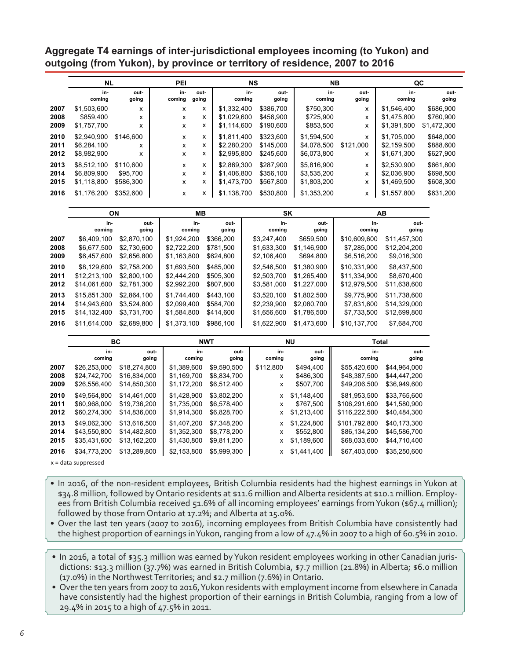**Aggregate T4 earnings of inter-jurisdictional employees incoming (to Yukon) and outgoing (from Yukon), by province or territory of residence, 2007 to 2016**

|                      | <b>NL</b>                                 |                                    | PEI           |               | <b>NS</b>                                 |                                     | <b>NB</b>                                 |                |                                           | QC                                  |
|----------------------|-------------------------------------------|------------------------------------|---------------|---------------|-------------------------------------------|-------------------------------------|-------------------------------------------|----------------|-------------------------------------------|-------------------------------------|
|                      | in-<br>coming                             | out-<br>going                      | in-<br>coming | out-<br>going | in-<br>coming                             | out-<br>going                       | in-<br>coming                             | out-<br>going  | in-<br>coming                             | out-<br>going                       |
| 2007                 | \$1,503,600                               | x                                  | x             | x             | \$1,332,400                               | \$386,700                           | \$750.300                                 | x              | \$1.546.400                               | \$686,900                           |
| 2008                 | \$859,400                                 | x                                  | x             | x             | \$1,029,600                               | \$456.900                           | \$725,900                                 | х              | \$1,475,800                               | \$760,900                           |
| 2009                 | \$1,757,700                               | x                                  | x             | x             | \$1,114,600                               | \$190,600                           | \$853,500                                 | x              | \$1,391,500                               | \$1,472,300                         |
| 2010<br>2011         | \$2,940,900<br>\$6.284.100                | \$146,600<br>x                     | X<br>X        | x<br>x        | \$1,811,400<br>\$2.280.200                | \$323,600<br>\$145,000              | \$1.594.500<br>\$4,078,500                | x<br>\$121.000 | \$1,705,000<br>\$2,159,500                | \$648,000<br>\$888,600              |
| 2012                 | \$8,982,900                               | x                                  | x             | x             | \$2,995,800                               | \$245,600                           | \$6,073,800                               | x              | \$1,671,300                               | \$627,900                           |
| 2013<br>2014<br>2015 | \$8.512.100<br>\$6,809,900<br>\$1,118,800 | \$110.600<br>\$95,700<br>\$586,300 | X<br>X<br>x   | x<br>x<br>x   | \$2,869,300<br>\$1,406,800<br>\$1,473,700 | \$287.900<br>\$356,100<br>\$567,800 | \$5,816,900<br>\$3,535,200<br>\$1,803,200 | х<br>x<br>x    | \$2,530,900<br>\$2,036,900<br>\$1,469,500 | \$661.800<br>\$698,500<br>\$608,300 |
| 2016                 | \$1,176,200                               | \$352,600                          | X             | x             | \$1,138,700                               | \$530,800                           | \$1,353,200                               | х              | \$1,557,800                               | \$631,200                           |

|      | ΟN            |               | MВ            |               | <b>SK</b>     |               |               | AВ            |
|------|---------------|---------------|---------------|---------------|---------------|---------------|---------------|---------------|
|      | in-<br>coming | out-<br>going | in-<br>coming | out-<br>going | in-<br>coming | out-<br>going | in-<br>coming | out-<br>going |
| 2007 | \$6.409.100   | \$2.870.100   | \$1.924.200   | \$366.200     | \$3.247.400   | \$659.500     | \$10.609.600  | \$11.457.300  |
| 2008 | \$6,677,500   | \$2,730,600   | \$2,722,200   | \$781,500     | \$1,633,300   | \$1,146,900   | \$7,285,000   | \$12,204,200  |
| 2009 | \$6,457,600   | \$2,656,800   | \$1,163,800   | \$624,800     | \$2,106,400   | \$694,800     | \$6,516,200   | \$9,016,300   |
| 2010 | \$8.129.600   | \$2.758.200   | \$1.693.500   | \$485,000     | \$2.546.500   | \$1.380.900   | \$10.331.900  | \$8.437.500   |
| 2011 | \$12,213,100  | \$2,800,100   | \$2,444,200   | \$505,300     | \$2,503,700   | \$1,265,400   | \$11,334,900  | \$8,670,400   |
| 2012 | \$14,061,600  | \$2,781,300   | \$2,992,200   | \$807,800     | \$3,581,000   | \$1,227,000   | \$12,979,500  | \$11,638,600  |
| 2013 | \$15,851,300  | \$2,864,100   | \$1.744.400   | \$443.100     | \$3.520.100   | \$1.802.500   | \$9,775,900   | \$11.738.600  |
| 2014 | \$14,943,600  | \$3.524.800   | \$2,099,400   | \$584.700     | \$2,239,900   | \$2,080,700   | \$7,831,600   | \$14,329,000  |
| 2015 | \$14,132,400  | \$3,731,700   | \$1,584,800   | \$414,600     | \$1,656,600   | \$1,786,500   | \$7,733,500   | \$12,699,800  |
| 2016 | \$11.614.000  | \$2.689.800   | \$1.373.100   | \$986.100     | \$1.622.900   | \$1.473.600   | \$10.137.700  | \$7.684.700   |

|              |                              | BС                           | <b>NWT</b>                 |                            |               | ΝU                         | Total                         |                              |
|--------------|------------------------------|------------------------------|----------------------------|----------------------------|---------------|----------------------------|-------------------------------|------------------------------|
|              | in-<br>coming                | out-<br>going                | in-<br>coming              | out<br>going               | in-<br>coming | out-<br>going              | in-<br>coming                 | out-<br>going                |
| 2007         | \$26,253,000                 | \$18,274,800                 | \$1,389,600                | \$9.590.500                | \$112,800     | \$494,400                  | \$55,420,600                  | \$44.964.000                 |
| 2008         | \$24,742,700                 | \$16,834,000                 | \$1,169,700                | \$8,834,700                | х             | \$486,300                  | \$48,387,500                  | \$44,447,200                 |
| 2009         | \$26,556,400                 | \$14,850,300                 | \$1,172,200                | \$6,512,400                | x             | \$507,700                  | \$49,206,500                  | \$36,949,600                 |
| 2010<br>2011 | \$49.564.800<br>\$60,968,000 | \$14.461.000<br>\$19.736.200 | \$1,428,900<br>\$1,735,000 | \$3,802,200<br>\$6,578,400 | x<br>x        | \$1,148,400<br>\$767,500   | \$81,953,500<br>\$106,291,600 | \$33.765.600<br>\$41,580,900 |
| 2012         | \$60,274,300                 | \$14,836,000                 | \$1,914,300                | \$6,828,700                | x             | \$1,213,400                | \$116,222,500                 | \$40,484,300                 |
| 2013<br>2014 | \$49,062,300<br>\$43,550,800 | \$13.616.500<br>\$14,482,800 | \$1,407,200<br>\$1,352,300 | \$7,348,200<br>\$8,778,200 | x<br>x        | \$1,224,800<br>\$552,800   | \$101,792,800<br>\$86,134,200 | \$40.173.300<br>\$45,586,700 |
| 2015<br>2016 | \$35,431,600<br>\$34,773,200 | \$13,162,200<br>\$13,289,800 | \$1,430,800<br>\$2,153,800 | \$9,811,200<br>\$5,999,300 | x<br>x        | \$1,189,600<br>\$1,441,400 | \$68,033,600<br>\$67,403,000  | \$44,710,400<br>\$35,250,600 |

x = data suppressed

- • In 2016, of the non-resident employees, British Columbia residents had the highest earnings in Yukon at \$34.8 million, followed by Ontario residents at \$11.6 million and Alberta residents at \$10.1 million. Employees from British Columbia received 51.6% of all incoming employees' earnings from Yukon (\$67.4 million); followed by those from Ontario at 17.2%; and Alberta at 15.0%.
- Over the last ten years (2007 to 2016), incoming employees from British Columbia have consistently had the highest proportion of earnings inYukon, ranging from a low of 47.4% in 2007 to a high of 60.5% in 2010.
- In 2016, a total of \$35.3 million was earned by Yukon resident employees working in other Canadian jurisdictions: \$13.3 million (37.7%) was earned in British Columbia, \$7.7 million (21.8%) in Alberta; \$6.0 million (17.0%) in the Northwest Territories; and \$2.7 million (7.6%) in Ontario.
- Over the ten years from 2007 to 2016, Yukon residents with employment income from elsewhere in Canada have consistently had the highest proportion of their earnings in British Columbia, ranging from a low of 29.4% in 2015 to a high of 47.5% in 2011.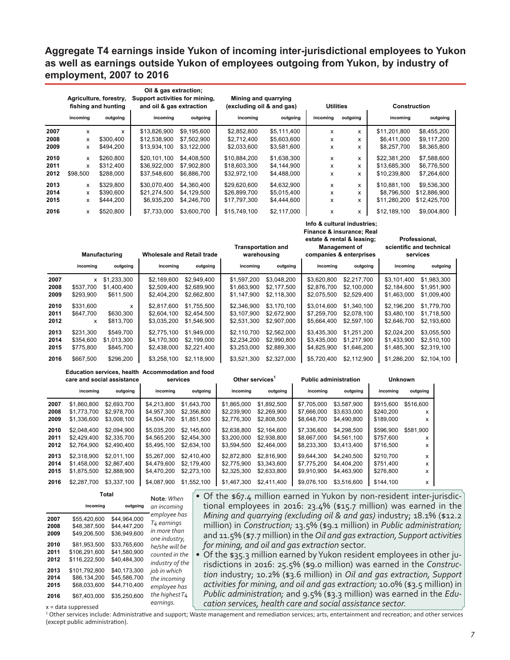### **Aggregate T4 earnings inside Yukon of incoming inter-jurisdictional employees to Yukon as well as earnings outside Yukon of employees outgoing from Yukon, by industry of employment, 2007 to 2016**

|      | Agriculture, forestry,<br>fishing and hunting<br>incoming<br>outgoing |           | Oil & gas extraction;<br>Support activities for mining,<br>and oil & gas extraction |             | Mining and quarrying<br>(excluding oil & and gas) | <b>Utilities</b> |          | <b>Construction</b><br>incoming<br>outgoing |              |              |  |
|------|-----------------------------------------------------------------------|-----------|-------------------------------------------------------------------------------------|-------------|---------------------------------------------------|------------------|----------|---------------------------------------------|--------------|--------------|--|
|      |                                                                       |           | incoming                                                                            | outgoing    | incoming                                          | outgoing         | incoming | outgoing                                    |              |              |  |
| 2007 | x                                                                     | x         | \$13,826,900                                                                        | \$9.195.600 | \$2,852,800                                       | \$5.111.400      | X        | x                                           | \$11.201.800 | \$8,455,200  |  |
| 2008 | x                                                                     | \$300.400 | \$12,538,900                                                                        | \$7,502,900 | \$2.712.400                                       | \$5,603,600      | x        | x                                           | \$6,411,000  | \$9,117,200  |  |
| 2009 | x                                                                     | \$494.200 | \$13,934,100                                                                        | \$3,122,000 | \$2,033,600                                       | \$3,581,600      | x        | x                                           | \$8,257,700  | \$8,365,800  |  |
| 2010 | x                                                                     | \$260.800 | \$20,101,100                                                                        | \$4,408,500 | \$10,884,200                                      | \$1,638,300      | x        | x                                           | \$22,381,200 | \$7,588,600  |  |
| 2011 | x                                                                     | \$312,400 | \$36,922,000                                                                        | \$7,902,800 | \$18,603,300                                      | \$4,144,900      | x        | x                                           | \$13,685,300 | \$6,776,500  |  |
| 2012 | \$98,500                                                              | \$288,000 | \$37,548,600                                                                        | \$6,886,700 | \$32,972,100                                      | \$4,488,000      | x        | x                                           | \$10,239,800 | \$7,264,600  |  |
| 2013 | x                                                                     | \$329.800 | \$30.070.400                                                                        | \$4,360,400 | \$29,620,600                                      | \$4,632,900      | x        | x                                           | \$10.881.100 | \$9,536,300  |  |
| 2014 | x                                                                     | \$390,600 | \$21,274,500                                                                        | \$4,129,500 | \$26,899,700                                      | \$5,015,400      | x        | x                                           | \$8,796,500  | \$12,886,900 |  |
| 2015 | x                                                                     | \$444,200 | \$6,935,200                                                                         | \$4,246,700 | \$17,797,300                                      | \$4,444,600      | x        | x                                           | \$11,280,200 | \$12,425,700 |  |
| 2016 | x                                                                     | \$520,800 | \$7.733.000                                                                         | \$3,600,700 | \$15,749,100                                      | \$2,117,000      | x        | x                                           | \$12.189.100 | \$9,004,800  |  |

|      | <b>Manufacturing</b> |             | <b>Wholesale and Retail trade</b> |             | <b>Transportation and</b><br>warehousing |             | estate & rental & leasing;<br><b>Management of</b><br>companies & enterprises |             | Professional,<br>scientific and technical<br>services |             |
|------|----------------------|-------------|-----------------------------------|-------------|------------------------------------------|-------------|-------------------------------------------------------------------------------|-------------|-------------------------------------------------------|-------------|
|      | incoming             | outgoing    | incoming                          | outgoing    | incoming                                 | outgoing    | incoming                                                                      | outgoing    | incoming                                              | outgoing    |
| 2007 | <b>X</b>             | \$1,233,300 | \$2.169.600                       | \$2.949.400 | \$1.597.200                              | \$3.048.200 | \$3.620.800                                                                   | \$2,217,700 | \$3.101.400                                           | \$1,983,300 |
| 2008 | \$537,700            | \$1,400,400 | \$2,509,400                       | \$2,689,900 | \$1,663,900                              | \$2,177,500 | \$2,876,700                                                                   | \$2,100,000 | \$2,184,600                                           | \$1,951,900 |
| 2009 | \$293.900            | \$611,500   | \$2,404,200                       | \$2,662,800 | \$1,147,900                              | \$2,118,300 | \$2,075,500                                                                   | \$2,529,400 | \$1,463,000                                           | \$1,009,400 |
| 2010 | \$331,600            | x           | \$2.817.600                       | \$1.755.500 | \$2.346.900                              | \$3.170.100 | \$3.014.600                                                                   | \$1,340,100 | \$2.196.200                                           | \$1,779,700 |
| 2011 | \$647.700            | \$630,300   | \$2,604.100                       | \$2.454.500 | \$3.107.900                              | \$2,672,900 | \$7.259.700                                                                   | \$2,078,100 | \$3.480.100                                           | \$1.718.500 |
| 2012 | x                    | \$813,700   | \$3,035,200                       | \$1,546,900 | \$2,531,300                              | \$2,907,000 | \$5,664,400                                                                   | \$2,597,100 | \$2,646,700                                           | \$2,193,600 |
| 2013 | \$231.300            | \$549.700   | \$2,775,100                       | \$1.949.000 | \$2.110.700                              | \$2,562,000 | \$3.435.300                                                                   | \$1.251.200 | \$2.024.200                                           | \$3,055,500 |
| 2014 | \$354,600            | \$1,013,300 | \$4,170,300                       | \$2.199.000 | \$2,234,200                              | \$2,990,800 | \$3.435.000                                                                   | \$1.217.900 | \$1,433,900                                           | \$2,510,100 |
| 2015 | \$775,800            | \$845,700   | \$2,438,000                       | \$2,221,400 | \$3,253,000                              | \$2,889,300 | \$4,825,900                                                                   | \$1,646,200 | \$1,485,300                                           | \$2,319,100 |
| 2016 | \$667.500            | \$296.200   | \$3.258.100                       | \$2.118.900 | \$3.521.300                              | \$2,327,000 | \$5.720.400                                                                   | \$2.112.900 | \$1,286,200                                           | \$2.104.100 |

#### **Education services, health Accommodation and food care and social assistance**

|                      | care and social assistance                |                                           | services                                  |                                           | Other services <sup>1</sup>               |                                           | <b>Public administration</b>              |                                           | <b>Unknown</b>                      |                     |
|----------------------|-------------------------------------------|-------------------------------------------|-------------------------------------------|-------------------------------------------|-------------------------------------------|-------------------------------------------|-------------------------------------------|-------------------------------------------|-------------------------------------|---------------------|
|                      | incoming                                  | outgoing                                  | incoming                                  | outgoing                                  | incomina                                  | outgoing                                  | incoming                                  | outgoing                                  | incoming                            | outgoing            |
| 2007                 | \$1.860.800                               | \$2,693,700                               | \$4.213.800                               | \$1.643.700                               | \$1,865,000                               | \$1,892,500                               | \$7.705.000                               | \$3.587.900                               | \$915,600                           | \$516,600           |
| 2008<br>2009         | \$1,773,700<br>\$1.336.600                | \$2,978,700<br>\$3,008,100                | \$4,957,300<br>\$4,504,700                | \$2,356,800<br>\$1.851.500                | \$2,239,900<br>\$2,776,300                | \$2,269,900<br>\$2,808,500                | \$7,666,000<br>\$8.648.700                | \$3.633.000<br>\$4,490,800                | \$240,200<br>\$189,000              | x<br>x              |
| 2010<br>2011<br>2012 | \$2.048.400<br>\$2.429.400<br>\$2.764.900 | \$2.094.900<br>\$2,335,700<br>\$2,490,400 | \$5.035.200<br>\$4,565,200<br>\$5,495,100 | \$2,145,600<br>\$2.454.300<br>\$2.634.100 | \$2.638.800<br>\$3,200,000<br>\$3.594.500 | \$2.164.600<br>\$2,938,800<br>\$2.464.000 | \$7,336,600<br>\$8.667.000<br>\$8,233,300 | \$4.298.500<br>\$4.561.100<br>\$3.413.400 | \$596.900<br>\$757,600<br>\$716,500 | \$581.900<br>x<br>x |
| 2013<br>2014<br>2015 | \$2.318.900<br>\$1.458,000<br>\$1,875,500 | \$2.011.100<br>\$2.867.400<br>\$2,888,900 | \$5,267,000<br>\$4,479,600<br>\$4,470,200 | \$2,410,400<br>\$2.179.400<br>\$2,273,100 | \$2.872.800<br>\$2,775,900<br>\$2,325,300 | \$2.816.900<br>\$3.343.600<br>\$2,633,800 | \$9.644.300<br>\$7,775,200<br>\$9.910.900 | \$4.240.500<br>\$4,404,200<br>\$4,463,900 | \$210.700<br>\$751,400<br>\$276,800 | x<br>x<br>x         |
| 2016                 | \$2,287,700                               | \$3,337,100                               | \$4,087,900                               | \$1,552,100                               | \$1,467,300                               | \$2,411,400                               | \$9,076,100                               | \$3,516,600                               | \$144,100                           | x                   |

|                              |                                                              | .                                                            |                                                                                            |  |
|------------------------------|--------------------------------------------------------------|--------------------------------------------------------------|--------------------------------------------------------------------------------------------|--|
|                              | incoming                                                     | outgoing                                                     | an incoming                                                                                |  |
| 2007<br>2008<br>2009<br>2010 | \$55.420.600<br>\$48.387.500<br>\$49,206,500<br>\$81.953.500 | \$44.964.000<br>\$44.447.200<br>\$36,949,600<br>\$33.765.600 | employee has<br>T <sub>4</sub> earnings<br>in more than<br>one industry,<br>he/she will be |  |
| 2011<br>2012<br>2013         | \$106.291.600<br>\$116,222,500<br>\$101,792,800              | \$41,580,900<br>\$40.484.300<br>\$40.173.300                 | counted in the<br>industry of the<br>job in which                                          |  |
| 2014<br>2015<br>2016         | \$86.134.200<br>\$68,033,600<br>\$67.403.000                 | \$45,586,700<br>\$44,710,400<br>\$35,250,600                 | the incoming<br>employee has<br>the highest $T_4$                                          |  |
|                              | $v = \text{data}$ cunneccent                                 | earnings.                                                    |                                                                                            |  |

**Total**

• Of the \$67.4 million earned in Yukon by non-resident inter-jurisdictional employees in 2016: 23.4% (\$15.7 million) was earned in the *Mining and quarrying (excluding oil & and gas)* industry; 18.1% (\$12.2 million) in *Construction;* 13.5% (\$9.1 million) in *Public administration;*  and 11.5% (\$7.7 million) in the *Oil and gas extraction, Support activities for mining, and oil and gas extraction* sector.

 **Info & cultural industries; Finance & insurance; Real** 

**Professional,** 

• Of the \$35.3 million earned by Yukon resident employees in other jurisdictions in 2016: 25.5% (\$9.0 million) was earned in the *Construction* industry; 10.2% (\$3.6 million) in *Oil and gas extraction, Support activities for mining, and oil and gas extraction;* 10.0% (\$3.5 million) in *Public administration;* and 9.5% (\$3.3 million) was earned in the *Education services, health care and social assistance sector.*

*earnings.* x = data suppressed

<sup>1</sup> Other services include: Administrative and support; Waste management and remediation services; arts, entertainment and recreation; and other services (except public administration).